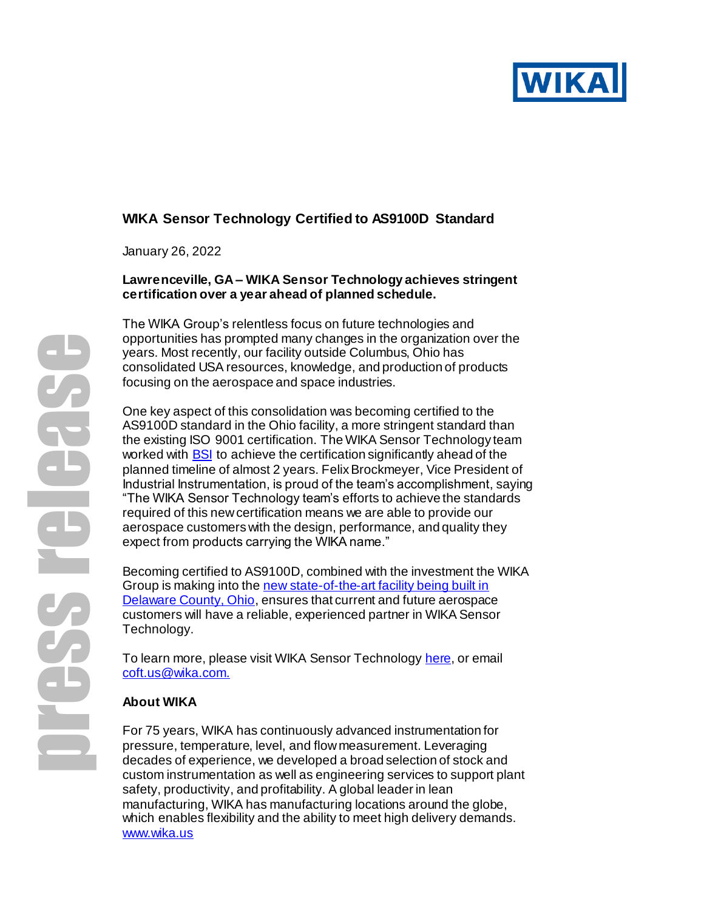

# **WIKA Sensor Technology Certified to AS9100D Standard**

January 26, 2022

### **Lawrenceville, GA – WIKA Sensor Technology achieves stringent certification over a year ahead of planned schedule.**

The WIKA Group's relentless focus on future technologies and opportunities has prompted many changes in the organization over the years. Most recently, our facility outside Columbus, Ohio has consolidated USA resources, knowledge, and production of products focusing on the aerospace and space industries.

One key aspect of this consolidation was becoming certified to the AS9100D standard in the Ohio facility, a more stringent standard than the existing ISO 9001 certification. The WIKA Sensor Technology team worked with **BSI** to achieve the certification significantly ahead of the planned timeline of almost 2 years. Felix Brockmeyer, Vice President of Industrial Instrumentation, is proud of the team's accomplishment, saying "The WIKA Sensor Technology team's efforts to achieve the standards required of this new certification means we are able to provide our aerospace customers with the design, performance, and quality they expect from products carrying the WIKA name."

Becoming certified to AS9100D, combined with the investment the WIKA Group is making into the new state-of-the-art facility being built in [Delaware County, Ohio,](https://blog.wika.us/products/force-products/wika-sensor-technology-breaks-ground-on-larger-facility-in-central-ohio/) ensures that current and future aerospace customers will have a reliable, experienced partner in WIKA Sensor Technology.

To learn more, please visit WIKA Sensor Technology [here](https://www.wika.us/landingpage_tecsis_en_us.WIKA), or email [coft.us@wika.com.](mailto:coft.us@wika.com.)

### **About WIKA**

For 75 years, WIKA has continuously advanced instrumentation for pressure, temperature, level, and flow measurement. Leveraging decades of experience, we developed a broad selection of stock and custom instrumentation as well as engineering services to support plant safety, productivity, and profitability. A global leader in lean manufacturing, WIKA has manufacturing locations around the globe, which enables flexibility and the ability to meet high delivery demands. [www.wika.us](https://www.wika.us/s_20_en_us.WIKA)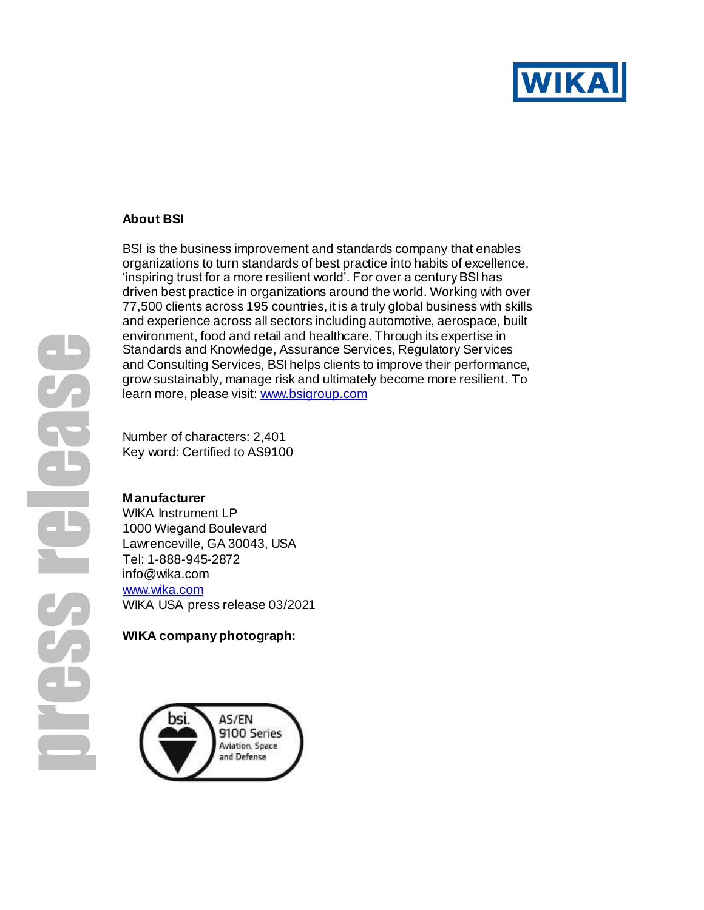

## **About BSI**

BSI is the business improvement and standards company that enables organizations to turn standards of best practice into habits of excellence, 'inspiring trust for a more resilient world'. For over a century BSI has driven best practice in organizations around the world. Working with over 77,500 clients across 195 countries, it is a truly global business with skills and experience across all sectors including automotive, aerospace, built environment, food and retail and healthcare. Through its expertise in Standards and Knowledge, Assurance Services, Regulatory Services and Consulting Services, BSI helps clients to improve their performance, grow sustainably, manage risk and ultimately become more resilient. To learn more, please visit: [www.bsigroup.com](https://eur03.safelinks.protection.outlook.com/?url=http%3A%2F%2Fwww.bsigroup.com%2F&data=04%7C01%7CStephanie.Croucher%40bsigroup.com%7C31cf6ad662be493a753b08d8fe8607b4%7C54946ffc68d34955ac70dca726d445b4%7C0%7C0%7C637539198893059567%7CUnknown%7CTWFpbGZsb3d8eyJWIjoiMC4wLjAwMDAiLCJQIjoiV2luMzIiLCJBTiI6Ik1haWwiLCJXVCI6Mn0%3D%7C1000&sdata=p62G8qVla%2BpXYKOEhojSV4VzQQvHQtB4xD0GW853WOw%3D&reserved=0) 

Number of characters: 2,401 Key word: Certified to AS9100

#### **Manufacturer**

WIKA Instrument LP 1000 Wiegand Boulevard Lawrenceville, GA 30043, USA Tel: 1-888-945-2872 info@wika.com [www.wika.com](http://www.wika.com/) WIKA USA press release 03/2021

### **WIKA company photograph:**